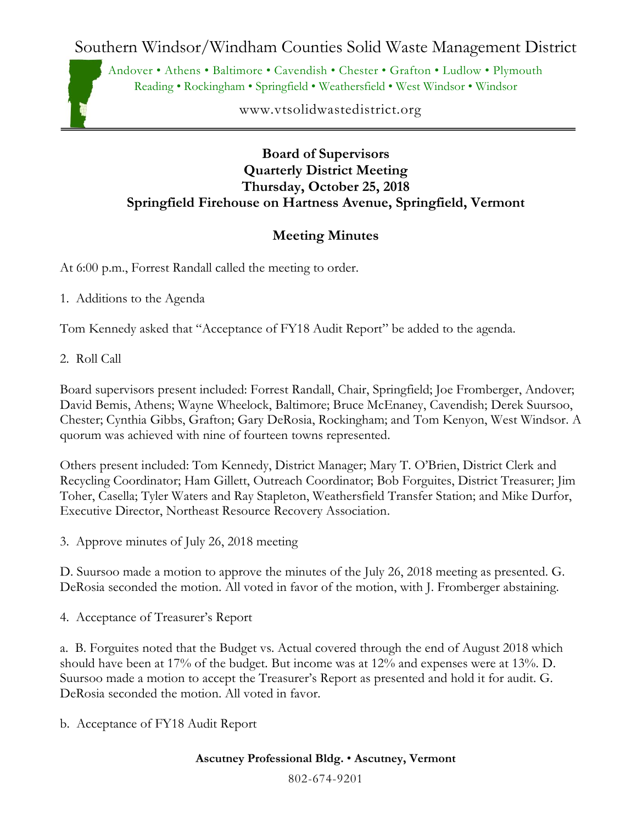Southern Windsor/Windham Counties Solid Waste Management District

Andover • Athens • Baltimore • Cavendish • Chester • Grafton • Ludlow • Plymouth Reading • Rockingham • Springfield • Weathersfield • West Windsor • Windsor

www.vtsolidwastedistrict.org

## **Board of Supervisors Quarterly District Meeting Thursday, October 25, 2018 Springfield Firehouse on Hartness Avenue, Springfield, Vermont**

## **Meeting Minutes**

At 6:00 p.m., Forrest Randall called the meeting to order.

1. Additions to the Agenda

Tom Kennedy asked that "Acceptance of FY18 Audit Report" be added to the agenda.

2. Roll Call

Board supervisors present included: Forrest Randall, Chair, Springfield; Joe Fromberger, Andover; David Bemis, Athens; Wayne Wheelock, Baltimore; Bruce McEnaney, Cavendish; Derek Suursoo, Chester; Cynthia Gibbs, Grafton; Gary DeRosia, Rockingham; and Tom Kenyon, West Windsor. A quorum was achieved with nine of fourteen towns represented.

Others present included: Tom Kennedy, District Manager; Mary T. O'Brien, District Clerk and Recycling Coordinator; Ham Gillett, Outreach Coordinator; Bob Forguites, District Treasurer; Jim Toher, Casella; Tyler Waters and Ray Stapleton, Weathersfield Transfer Station; and Mike Durfor, Executive Director, Northeast Resource Recovery Association.

3. Approve minutes of July 26, 2018 meeting

D. Suursoo made a motion to approve the minutes of the July 26, 2018 meeting as presented. G. DeRosia seconded the motion. All voted in favor of the motion, with J. Fromberger abstaining.

4. Acceptance of Treasurer's Report

a. B. Forguites noted that the Budget vs. Actual covered through the end of August 2018 which should have been at 17% of the budget. But income was at 12% and expenses were at 13%. D. Suursoo made a motion to accept the Treasurer's Report as presented and hold it for audit. G. DeRosia seconded the motion. All voted in favor.

b. Acceptance of FY18 Audit Report

**Ascutney Professional Bldg.** • **Ascutney, Vermont**

802-674-9201